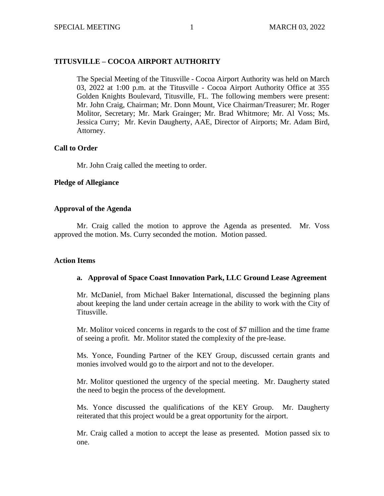# **TITUSVILLE – COCOA AIRPORT AUTHORITY**

The Special Meeting of the Titusville - Cocoa Airport Authority was held on March 03, 2022 at 1:00 p.m. at the Titusville - Cocoa Airport Authority Office at 355 Golden Knights Boulevard, Titusville, FL. The following members were present: Mr. John Craig, Chairman; Mr. Donn Mount, Vice Chairman/Treasurer; Mr. Roger Molitor, Secretary; Mr. Mark Grainger; Mr. Brad Whitmore; Mr. Al Voss; Ms. Jessica Curry; Mr. Kevin Daugherty, AAE, Director of Airports; Mr. Adam Bird, Attorney.

## **Call to Order**

Mr. John Craig called the meeting to order.

## **Pledge of Allegiance**

## **Approval of the Agenda**

Mr. Craig called the motion to approve the Agenda as presented. Mr. Voss approved the motion. Ms. Curry seconded the motion. Motion passed.

#### **Action Items**

# **a. Approval of Space Coast Innovation Park, LLC Ground Lease Agreement**

Mr. McDaniel, from Michael Baker International, discussed the beginning plans about keeping the land under certain acreage in the ability to work with the City of Titusville.

Mr. Molitor voiced concerns in regards to the cost of \$7 million and the time frame of seeing a profit. Mr. Molitor stated the complexity of the pre-lease.

Ms. Yonce, Founding Partner of the KEY Group, discussed certain grants and monies involved would go to the airport and not to the developer.

Mr. Molitor questioned the urgency of the special meeting. Mr. Daugherty stated the need to begin the process of the development.

Ms. Yonce discussed the qualifications of the KEY Group. Mr. Daugherty reiterated that this project would be a great opportunity for the airport.

Mr. Craig called a motion to accept the lease as presented. Motion passed six to one.